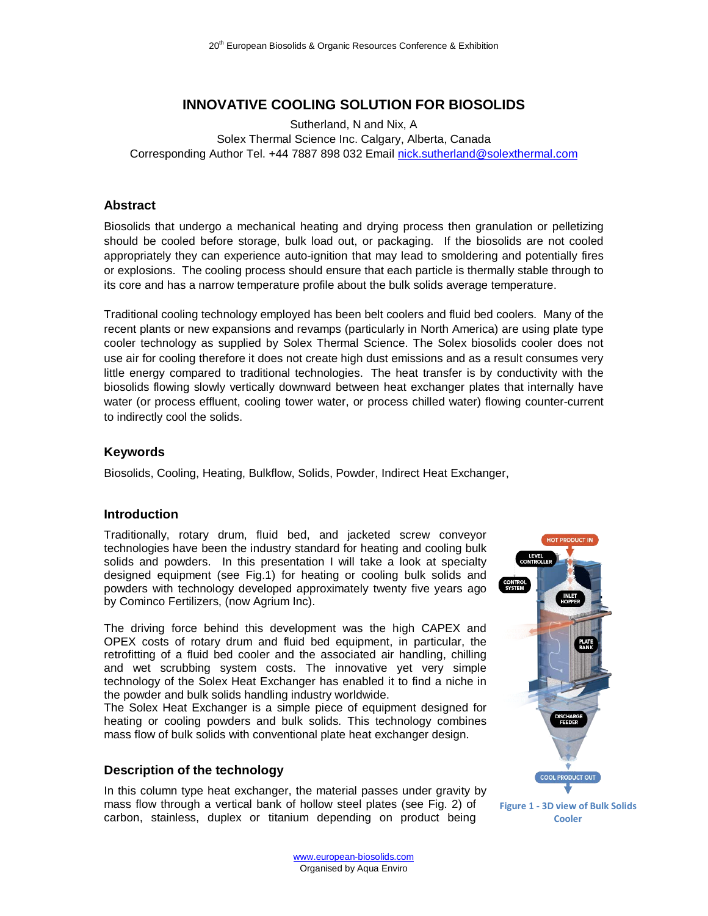# **INNOVATIVE COOLING SOLUTION FOR BIOSOLIDS**

Sutherland, N and Nix, A Solex Thermal Science Inc. Calgary, Alberta, Canada Corresponding Author Tel. +44 7887 898 032 Email [nick.sutherland@solexthermal.com](mailto:nick.sutherland@solexthermal.com)

#### **Abstract**

Biosolids that undergo a mechanical heating and drying process then granulation or pelletizing should be cooled before storage, bulk load out, or packaging. If the biosolids are not cooled appropriately they can experience auto-ignition that may lead to smoldering and potentially fires or explosions. The cooling process should ensure that each particle is thermally stable through to its core and has a narrow temperature profile about the bulk solids average temperature.

Traditional cooling technology employed has been belt coolers and fluid bed coolers. Many of the recent plants or new expansions and revamps (particularly in North America) are using plate type cooler technology as supplied by Solex Thermal Science. The Solex biosolids cooler does not use air for cooling therefore it does not create high dust emissions and as a result consumes very little energy compared to traditional technologies. The heat transfer is by conductivity with the biosolids flowing slowly vertically downward between heat exchanger plates that internally have water (or process effluent, cooling tower water, or process chilled water) flowing counter-current to indirectly cool the solids.

### **Keywords**

Biosolids, Cooling, Heating, Bulkflow, Solids, Powder, Indirect Heat Exchanger,

### **Introduction**

Traditionally, rotary drum, fluid bed, and jacketed screw conveyor technologies have been the industry standard for heating and cooling bulk solids and powders. In this presentation I will take a look at specialty designed equipment (see Fig.1) for heating or cooling bulk solids and powders with technology developed approximately twenty five years ago by Cominco Fertilizers, (now Agrium Inc).

The driving force behind this development was the high CAPEX and OPEX costs of rotary drum and fluid bed equipment, in particular, the retrofitting of a fluid bed cooler and the associated air handling, chilling and wet scrubbing system costs. The innovative yet very simple technology of the Solex Heat Exchanger has enabled it to find a niche in the powder and bulk solids handling industry worldwide.

The Solex Heat Exchanger is a simple piece of equipment designed for heating or cooling powders and bulk solids. This technology combines mass flow of bulk solids with conventional plate heat exchanger design.

### **Description of the technology**

In this column type heat exchanger, the material passes under gravity by mass flow through a vertical bank of hollow steel plates (see Fig. 2) of carbon, stainless, duplex or titanium depending on product being



**Figure 1 - 3D view of Bulk Solids Cooler**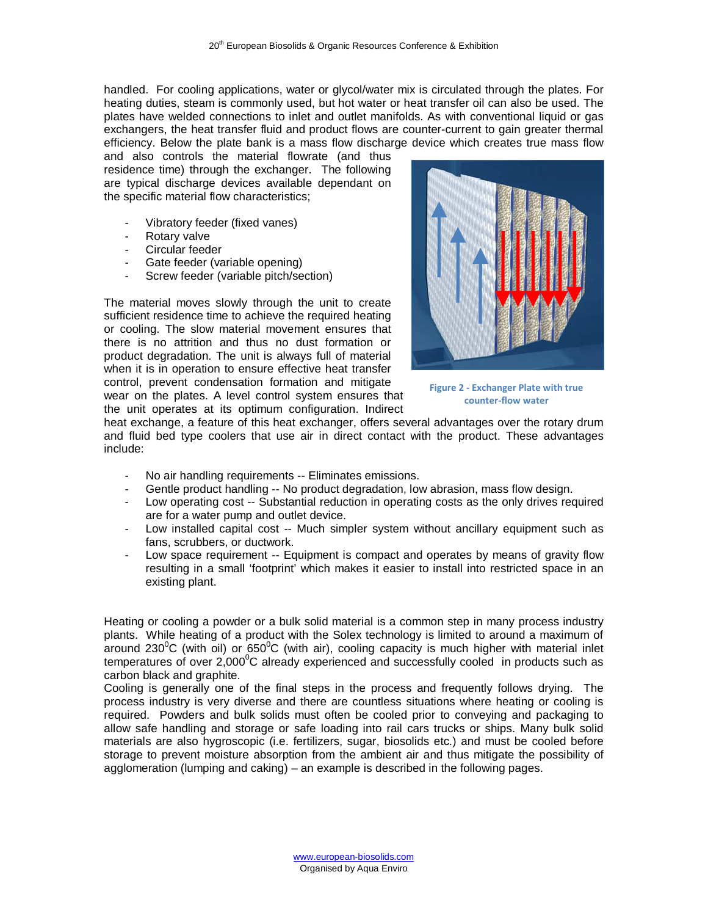handled. For cooling applications, water or glycol/water mix is circulated through the plates. For heating duties, steam is commonly used, but hot water or heat transfer oil can also be used. The plates have welded connections to inlet and outlet manifolds. As with conventional liquid or gas exchangers, the heat transfer fluid and product flows are counter-current to gain greater thermal efficiency. Below the plate bank is a mass flow discharge device which creates true mass flow

and also controls the material flowrate (and thus residence time) through the exchanger. The following are typical discharge devices available dependant on the specific material flow characteristics;

- Vibratory feeder (fixed vanes)
- Rotary valve<br>- Circular feede
- Circular feeder
- Gate feeder (variable opening)
- Screw feeder (variable pitch/section)

The material moves slowly through the unit to create sufficient residence time to achieve the required heating or cooling. The slow material movement ensures that there is no attrition and thus no dust formation or product degradation. The unit is always full of material when it is in operation to ensure effective heat transfer control, prevent condensation formation and mitigate wear on the plates. A level control system ensures that the unit operates at its optimum configuration. Indirect



**Figure 2 - Exchanger Plate with true counter-flow water**

heat exchange, a feature of this heat exchanger, offers several advantages over the rotary drum and fluid bed type coolers that use air in direct contact with the product. These advantages include:

- No air handling requirements -- Eliminates emissions.
- Gentle product handling -- No product degradation, low abrasion, mass flow design.
- Low operating cost -- Substantial reduction in operating costs as the only drives required are for a water pump and outlet device.
- Low installed capital cost -- Much simpler system without ancillary equipment such as fans, scrubbers, or ductwork.
- Low space requirement -- Equipment is compact and operates by means of gravity flow resulting in a small 'footprint' which makes it easier to install into restricted space in an existing plant.

Heating or cooling a powder or a bulk solid material is a common step in many process industry plants. While heating of a product with the Solex technology is limited to around a maximum of around 230<sup>°</sup>C (with oil) or 650<sup>°</sup>C (with air), cooling capacity is much higher with material inlet temperatures of over 2,000 $\mathrm{^0C}$  already experienced and successfully cooled in products such as carbon black and graphite.

Cooling is generally one of the final steps in the process and frequently follows drying. The process industry is very diverse and there are countless situations where heating or cooling is required. Powders and bulk solids must often be cooled prior to conveying and packaging to allow safe handling and storage or safe loading into rail cars trucks or ships. Many bulk solid materials are also hygroscopic (i.e. fertilizers, sugar, biosolids etc.) and must be cooled before storage to prevent moisture absorption from the ambient air and thus mitigate the possibility of agglomeration (lumping and caking) – an example is described in the following pages.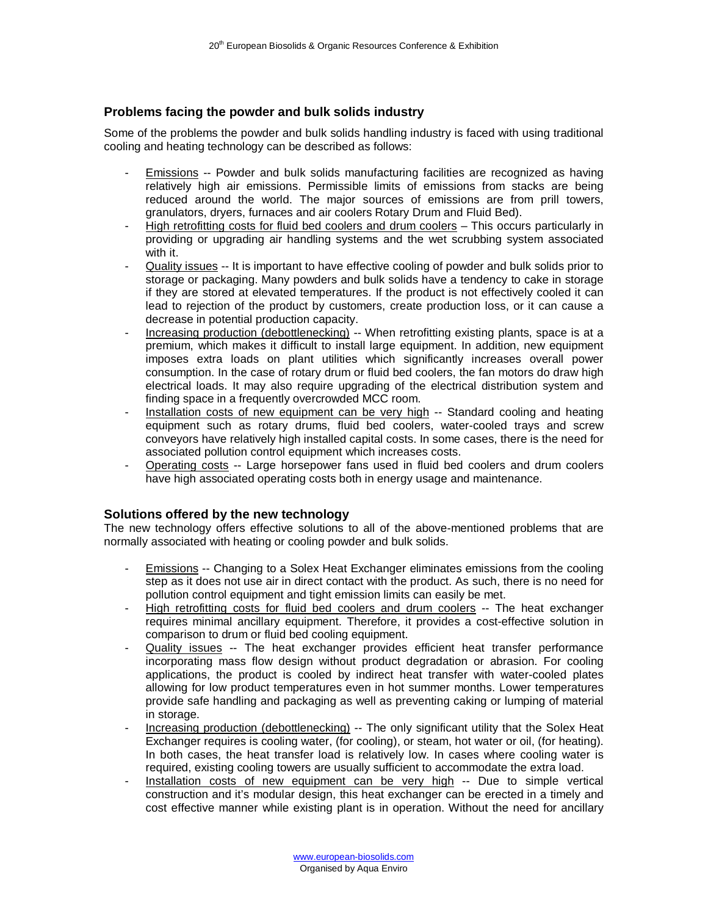## **Problems facing the powder and bulk solids industry**

Some of the problems the powder and bulk solids handling industry is faced with using traditional cooling and heating technology can be described as follows:

- Emissions -- Powder and bulk solids manufacturing facilities are recognized as having relatively high air emissions. Permissible limits of emissions from stacks are being reduced around the world. The major sources of emissions are from prill towers, granulators, dryers, furnaces and air coolers Rotary Drum and Fluid Bed).
- High retrofitting costs for fluid bed coolers and drum coolers This occurs particularly in providing or upgrading air handling systems and the wet scrubbing system associated with it.
- Quality issues -- It is important to have effective cooling of powder and bulk solids prior to storage or packaging. Many powders and bulk solids have a tendency to cake in storage if they are stored at elevated temperatures. If the product is not effectively cooled it can lead to rejection of the product by customers, create production loss, or it can cause a decrease in potential production capacity.
- Increasing production (debottlenecking) -- When retrofitting existing plants, space is at a premium, which makes it difficult to install large equipment. In addition, new equipment imposes extra loads on plant utilities which significantly increases overall power consumption. In the case of rotary drum or fluid bed coolers, the fan motors do draw high electrical loads. It may also require upgrading of the electrical distribution system and finding space in a frequently overcrowded MCC room.
- Installation costs of new equipment can be very high -- Standard cooling and heating equipment such as rotary drums, fluid bed coolers, water-cooled trays and screw conveyors have relatively high installed capital costs. In some cases, there is the need for associated pollution control equipment which increases costs.
- Operating costs -- Large horsepower fans used in fluid bed coolers and drum coolers have high associated operating costs both in energy usage and maintenance.

### **Solutions offered by the new technology**

The new technology offers effective solutions to all of the above-mentioned problems that are normally associated with heating or cooling powder and bulk solids.

- Emissions -- Changing to a Solex Heat Exchanger eliminates emissions from the cooling step as it does not use air in direct contact with the product. As such, there is no need for pollution control equipment and tight emission limits can easily be met.
- High retrofitting costs for fluid bed coolers and drum coolers -- The heat exchanger requires minimal ancillary equipment. Therefore, it provides a cost-effective solution in comparison to drum or fluid bed cooling equipment.
- Quality issues -- The heat exchanger provides efficient heat transfer performance incorporating mass flow design without product degradation or abrasion. For cooling applications, the product is cooled by indirect heat transfer with water-cooled plates allowing for low product temperatures even in hot summer months. Lower temperatures provide safe handling and packaging as well as preventing caking or lumping of material in storage.
- Increasing production (debottlenecking) -- The only significant utility that the Solex Heat Exchanger requires is cooling water, (for cooling), or steam, hot water or oil, (for heating). In both cases, the heat transfer load is relatively low. In cases where cooling water is required, existing cooling towers are usually sufficient to accommodate the extra load.
- Installation costs of new equipment can be very high -- Due to simple vertical construction and it's modular design, this heat exchanger can be erected in a timely and cost effective manner while existing plant is in operation. Without the need for ancillary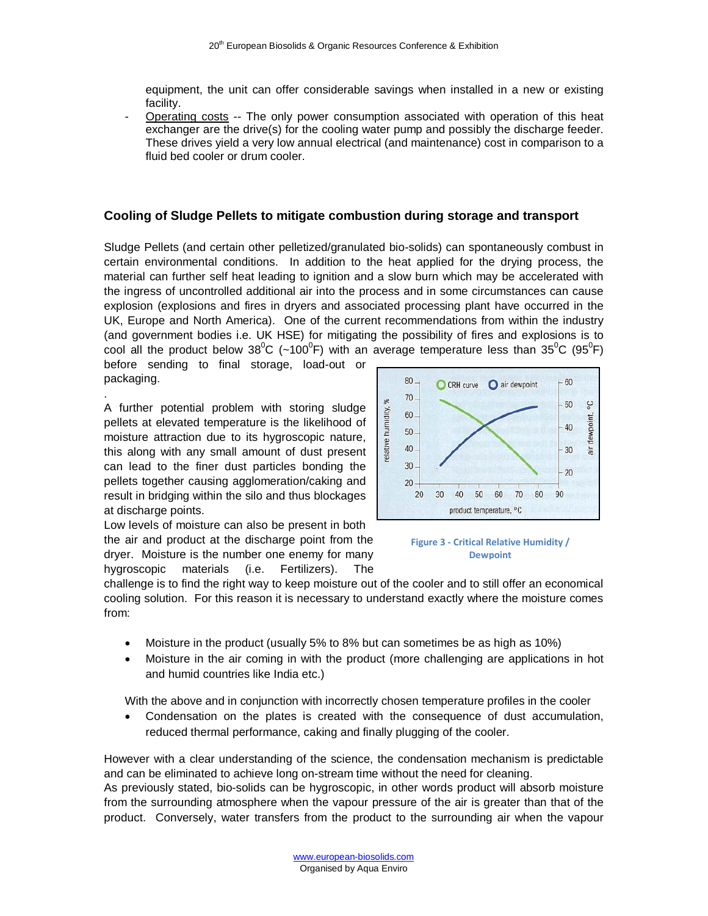equipment, the unit can offer considerable savings when installed in a new or existing facility.

Operating costs -- The only power consumption associated with operation of this heat exchanger are the drive(s) for the cooling water pump and possibly the discharge feeder. These drives yield a very low annual electrical (and maintenance) cost in comparison to a fluid bed cooler or drum cooler.

#### **Cooling of Sludge Pellets to mitigate combustion during storage and transport**

Sludge Pellets (and certain other pelletized/granulated bio-solids) can spontaneously combust in certain environmental conditions. In addition to the heat applied for the drying process, the material can further self heat leading to ignition and a slow burn which may be accelerated with the ingress of uncontrolled additional air into the process and in some circumstances can cause explosion (explosions and fires in dryers and associated processing plant have occurred in the UK, Europe and North America). One of the current recommendations from within the industry (and government bodies i.e. UK HSE) for mitigating the possibility of fires and explosions is to cool all the product below 38<sup>0</sup>C (~100<sup>0</sup>F) with an average temperature less than 35<sup>0</sup>C (95<sup>0</sup>F)

before sending to final storage, load-out or packaging.

.

A further potential problem with storing sludge pellets at elevated temperature is the likelihood of moisture attraction due to its hygroscopic nature, this along with any small amount of dust present can lead to the finer dust particles bonding the pellets together causing agglomeration/caking and result in bridging within the silo and thus blockages at discharge points.

Low levels of moisture can also be present in both the air and product at the discharge point from the dryer. Moisture is the number one enemy for many hygroscopic materials (i.e. Fertilizers). The



**Figure 3 - Critical Relative Humidity / Dewpoint**

challenge is to find the right way to keep moisture out of the cooler and to still offer an economical cooling solution. For this reason it is necessary to understand exactly where the moisture comes from:

- Moisture in the product (usually 5% to 8% but can sometimes be as high as 10%)
- Moisture in the air coming in with the product (more challenging are applications in hot and humid countries like India etc.)

With the above and in conjunction with incorrectly chosen temperature profiles in the cooler

• Condensation on the plates is created with the consequence of dust accumulation, reduced thermal performance, caking and finally plugging of the cooler.

However with a clear understanding of the science, the condensation mechanism is predictable and can be eliminated to achieve long on-stream time without the need for cleaning.

As previously stated, bio-solids can be hygroscopic, in other words product will absorb moisture from the surrounding atmosphere when the vapour pressure of the air is greater than that of the product. Conversely, water transfers from the product to the surrounding air when the vapour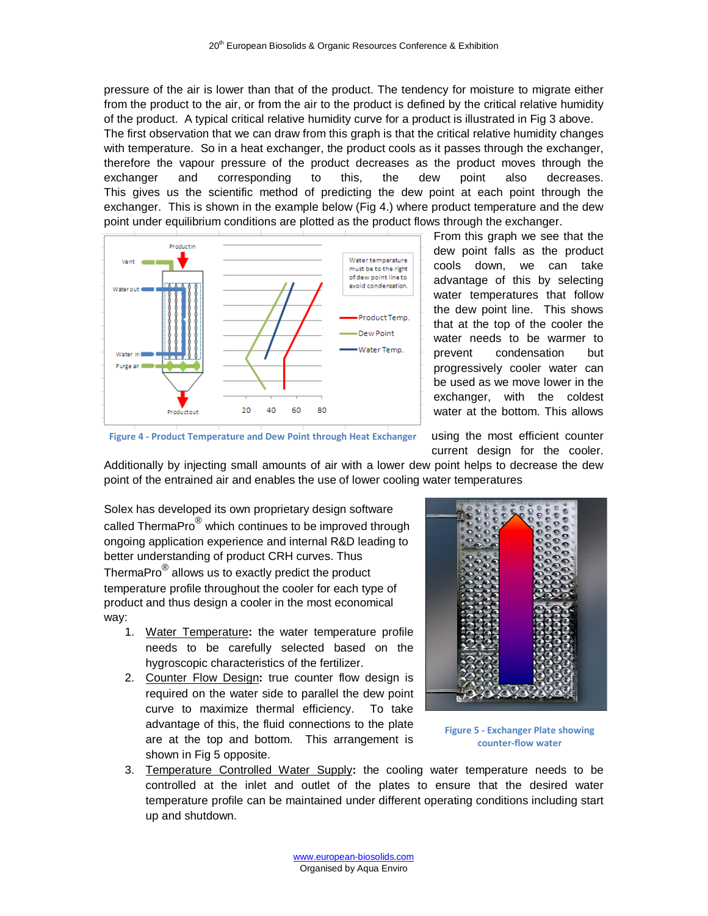pressure of the air is lower than that of the product. The tendency for moisture to migrate either from the product to the air, or from the air to the product is defined by the critical relative humidity of the product. A typical critical relative humidity curve for a product is illustrated in Fig 3 above. The first observation that we can draw from this graph is that the critical relative humidity changes with temperature. So in a heat exchanger, the product cools as it passes through the exchanger, therefore the vapour pressure of the product decreases as the product moves through the exchanger and corresponding to this, the dew point also decreases. This gives us the scientific method of predicting the dew point at each point through the exchanger. This is shown in the example below (Fig 4.) where product temperature and the dew point under equilibrium conditions are plotted as the product flows through the exchanger.



From this graph we see that the dew point falls as the product cools down, we can take advantage of this by selecting water temperatures that follow the dew point line. This shows that at the top of the cooler the water needs to be warmer to prevent condensation but progressively cooler water can be used as we move lower in the exchanger, with the coldest water at the bottom. This allows

**Figure 4 - Product Temperature and Dew Point through Heat Exchanger**

using the most efficient counter current design for the cooler.

Additionally by injecting small amounts of air with a lower dew point helps to decrease the dew point of the entrained air and enables the use of lower cooling water temperatures

Solex has developed its own proprietary design software called ThermaPro $^{\circledR}$  which continues to be improved through ongoing application experience and internal R&D leading to better understanding of product CRH curves. Thus ThermaPro® allows us to exactly predict the product temperature profile throughout the cooler for each type of product and thus design a cooler in the most economical way:

- 1. Water Temperature**:** the water temperature profile needs to be carefully selected based on the hygroscopic characteristics of the fertilizer.
- 2. Counter Flow Design**:** true counter flow design is required on the water side to parallel the dew point curve to maximize thermal efficiency. To take advantage of this, the fluid connections to the plate are at the top and bottom. This arrangement is shown in Fig 5 opposite.



**Figure 5 - Exchanger Plate showing counter-flow water**

3. Temperature Controlled Water Supply**:** the cooling water temperature needs to be controlled at the inlet and outlet of the plates to ensure that the desired water temperature profile can be maintained under different operating conditions including start up and shutdown.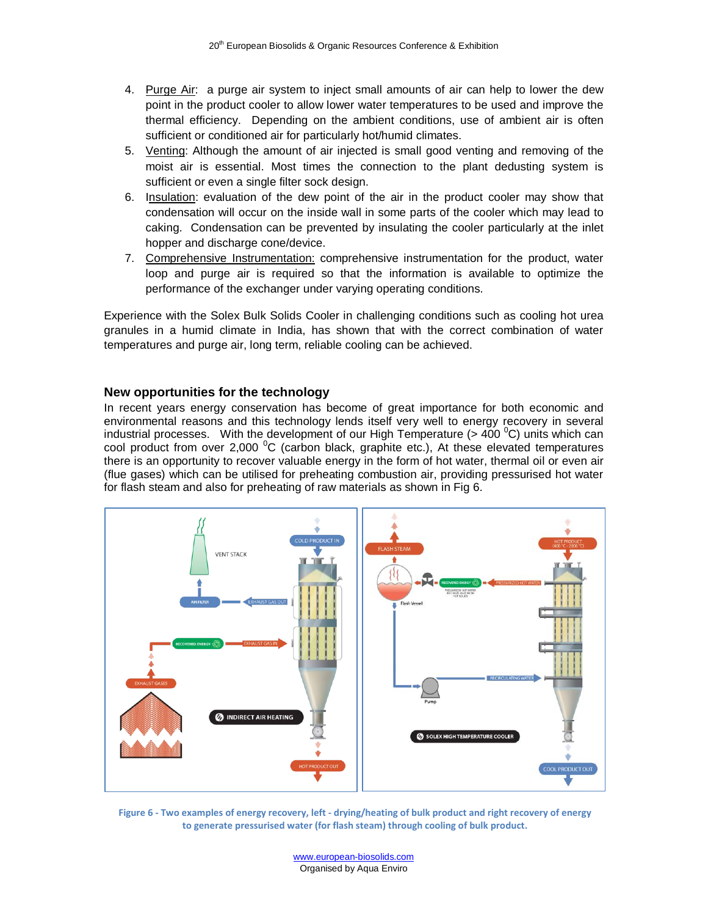- 4. Purge Air: a purge air system to inject small amounts of air can help to lower the dew point in the product cooler to allow lower water temperatures to be used and improve the thermal efficiency. Depending on the ambient conditions, use of ambient air is often sufficient or conditioned air for particularly hot/humid climates.
- 5. Venting: Although the amount of air injected is small good venting and removing of the moist air is essential. Most times the connection to the plant dedusting system is sufficient or even a single filter sock design.
- 6. Insulation: evaluation of the dew point of the air in the product cooler may show that condensation will occur on the inside wall in some parts of the cooler which may lead to caking. Condensation can be prevented by insulating the cooler particularly at the inlet hopper and discharge cone/device.
- 7. Comprehensive Instrumentation: comprehensive instrumentation for the product, water loop and purge air is required so that the information is available to optimize the performance of the exchanger under varying operating conditions.

Experience with the Solex Bulk Solids Cooler in challenging conditions such as cooling hot urea granules in a humid climate in India, has shown that with the correct combination of water temperatures and purge air, long term, reliable cooling can be achieved.

#### **New opportunities for the technology**

In recent years energy conservation has become of great importance for both economic and environmental reasons and this technology lends itself very well to energy recovery in several industrial processes. With the development of our High Temperature (> 400  $^{\circ}$ C) units which can cool product from over 2,000  $\mathrm{^0C}$  (carbon black, graphite etc.), At these elevated temperatures there is an opportunity to recover valuable energy in the form of hot water, thermal oil or even air (flue gases) which can be utilised for preheating combustion air, providing pressurised hot water for flash steam and also for preheating of raw materials as shown in Fig 6.



**Figure 6 - Two examples of energy recovery, left - drying/heating of bulk product and right recovery of energy to generate pressurised water (for flash steam) through cooling of bulk product.**